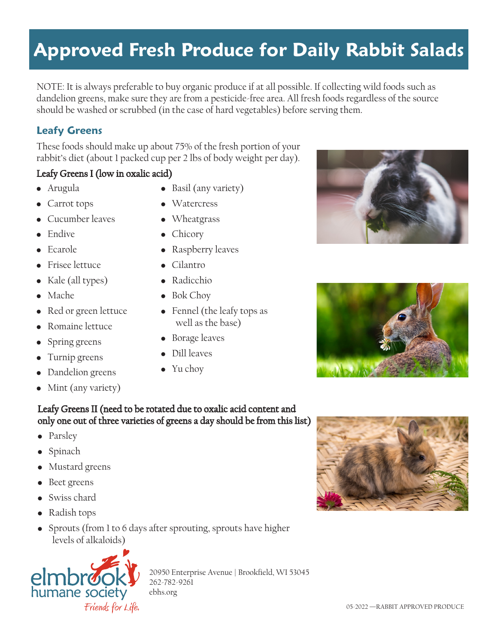#### 05-2022 —RABBIT APPROVED PRODUCE

# **Approved Fresh Produce for Daily Rabbit Salads**

NOTE: It is always preferable to buy organic produce if at all possible. If collecting wild foods such as dandelion greens, make sure they are from a pesticide-free area. All fresh foods regardless of the source should be washed or scrubbed (in the case of hard vegetables) before serving them.

## **Leafy Greens**

These foods should make up about 75% of the fresh portion of your rabbit's diet (about 1 packed cup per 2 lbs of body weight per day).

### Leafy Greens I (low in oxalic acid)

- Arugula
- $\bullet$  Carrot tops
- Cucumber leaves
- **Endive**
- **Ecarole**
- Frisee lettuce
- Kale (all types)
- Mache
- Red or green lettuce
- Romaine lettuce
- $\bullet$  Spring greens
- $\bullet$  Turnip greens

• Parsley • Spinach

- Dandelion greens
- Mint (any variety)

• Mustard greens Beet greens • Swiss chard

 $\bullet$  Radish tops

# • Basil (any variety)

- Watercress
- Wheatgrass
- $\bullet$  Chicory
- Raspberry leaves
- Cilantro
- Radicchio
- $\bullet$  Bok Choy
- $\bullet$  Fennel (the leafy tops as well as the base)
- Borage leaves
- Dill leaves
- $\bullet$  Yu chov

Leafy Greens II (need to be rotated due to oxalic acid content and

• Sprouts (from 1 to 6 days after sprouting, sprouts have higher







levels of alkaloids)

20950 Enterprise Avenue | Brookfield, WI 53045 262-782-9261 ebhs.org